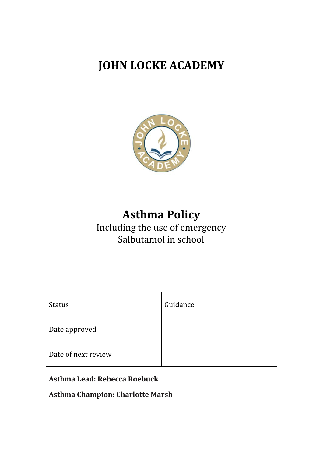# **JOHN LOCKE ACADEMY**



# **Asthma Policy**

Including the use of emergency Salbutamol in school

| <b>Status</b>       | Guidance |
|---------------------|----------|
| Date approved       |          |
| Date of next review |          |

## **Asthma Lead: Rebecca Roebuck**

**Asthma Champion: Charlotte Marsh**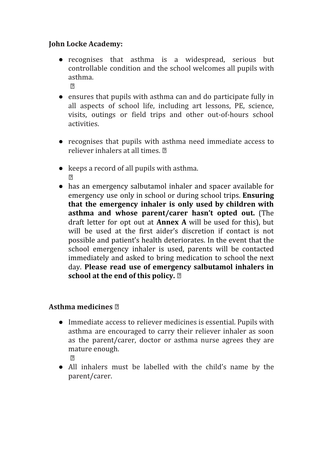#### **John Locke Academy:**

- recognises that asthma is a widespread, serious but controllable condition and the school welcomes all pupils with asthma.  $\overline{2}$
- ensures that pupils with asthma can and do participate fully in all aspects of school life, including art lessons, PE, science, visits, outings or field trips and other out-of-hours school activities.
- recognises that pupils with asthma need immediate access to reliever inhalers at all times.
- keeps a record of all pupils with asthma.  $\sqrt{2}$
- has an emergency salbutamol inhaler and spacer available for emergency use only in school or during school trips. **Ensuring that the emergency inhaler is only used by children with asthma and whose parent/carer hasn't opted out.** (The draft letter for opt out at **Annex A** will be used for this), but will be used at the first aider's discretion if contact is not possible and patient's health deteriorates. In the event that the school emergency inhaler is used, parents will be contacted immediately and asked to bring medication to school the next day. **Please read use of emergency salbutamol inhalers in school at the end of this policy.**

#### **Asthma medicines**

- Immediate access to reliever medicines is essential. Pupils with asthma are encouraged to carry their reliever inhaler as soon as the parent/carer, doctor or asthma nurse agrees they are mature enough.
	- $\sqrt{2}$
- All inhalers must be labelled with the child's name by the parent/carer.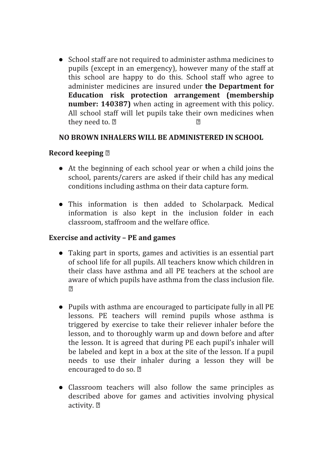● School staff are not required to administer asthma medicines to pupils (except in an emergency), however many of the staff at this school are happy to do this. School staff who agree to administer medicines are insured under **the Department for Education risk protection arrangement (membership number: 140387)** when acting in agreement with this policy. All school staff will let pupils take their own medicines when they need to.  $\mathbb{Z}$  example  $\mathbb{Z}$ 

#### **NO BROWN INHALERS WILL BE ADMINISTERED IN SCHOOL**

#### **Record keeping**

- At the beginning of each school year or when a child joins the school, parents/carers are asked if their child has any medical conditions including asthma on their data capture form.
- This information is then added to Scholarpack. Medical information is also kept in the inclusion folder in each classroom, staffroom and the welfare office.

#### **Exercise and activity – PE and games**

- Taking part in sports, games and activities is an essential part of school life for all pupils. All teachers know which children in their class have asthma and all PE teachers at the school are aware of which pupils have asthma from the class inclusion file.  $\sqrt{2}$
- Pupils with asthma are encouraged to participate fully in all PE lessons. PE teachers will remind pupils whose asthma is triggered by exercise to take their reliever inhaler before the lesson, and to thoroughly warm up and down before and after the lesson. It is agreed that during PE each pupil's inhaler will be labeled and kept in a box at the site of the lesson. If a pupil needs to use their inhaler during a lesson they will be encouraged to do so.
- Classroom teachers will also follow the same principles as described above for games and activities involving physical activity.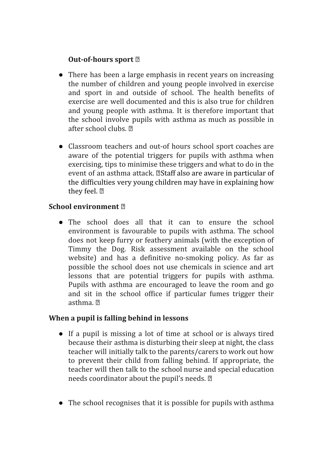#### **Out-of-hours sport**

- There has been a large emphasis in recent years on increasing the number of children and young people involved in exercise and sport in and outside of school. The health benefits of exercise are well documented and this is also true for children and young people with asthma. It is therefore important that the school involve pupils with asthma as much as possible in after school clubs. 2
- Classroom teachers and out-of hours school sport coaches are aware of the potential triggers for pupils with asthma when exercising, tips to minimise these triggers and what to do in the event of an asthma attack. *A* Staff also are aware in particular of the difficulties very young children may have in explaining how they feel. ?

#### **School environment**

• The school does all that it can to ensure the school environment is favourable to pupils with asthma. The school does not keep furry or feathery animals (with the exception of Timmy the Dog. Risk assessment available on the school website) and has a definitive no-smoking policy. As far as possible the school does not use chemicals in science and art lessons that are potential triggers for pupils with asthma. Pupils with asthma are encouraged to leave the room and go and sit in the school office if particular fumes trigger their asthma.

#### **When a pupil is falling behind in lessons**

- If a pupil is missing a lot of time at school or is always tired because their asthma is disturbing their sleep at night, the class teacher will initially talk to the parents/carers to work out how to prevent their child from falling behind. If appropriate, the teacher will then talk to the school nurse and special education needs coordinator about the pupil's needs. 2
- The school recognises that it is possible for pupils with asthma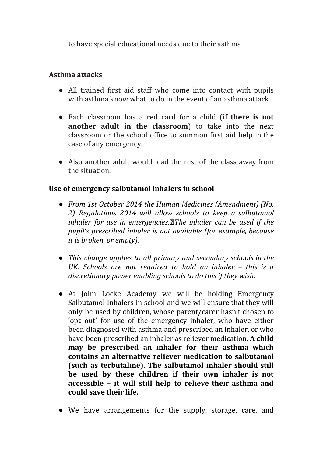to have special educational needs due to their asthma

#### **Asthma attacks**

- All trained first aid staff who come into contact with pupils with asthma know what to do in the event of an asthma attack.
- Each classroom has a red card for a child (**if there is not another adult in the classroom**) to take into the next classroom or the school office to summon first aid help in the case of any emergency.
- Also another adult would lead the rest of the class away from the situation.

#### **Use of emergency salbutamol inhalers in school**

- *● From 1st October 2014 the Human Medicines (Amendment) (No. 2) Regulations 2014 will allow schools to keep a salbutamol inhaler for use in emergencies.The inhaler can be used if the pupil's prescribed inhaler is not available (for example, because it is broken, or empty).*
- *● This change applies to all primary and secondary schools in the UK. Schools are not required to hold an inhaler – this is a discretionary power enabling schools to do this if they wish.*
- At John Locke Academy we will be holding Emergency Salbutamol Inhalers in school and we will ensure that they will only be used by children, whose parent/carer hasn't chosen to 'opt out' for use of the emergency inhaler, who have either been diagnosed with asthma and prescribed an inhaler, or who have been prescribed an inhaler as reliever medication. **A child may be prescribed an inhaler for their asthma which contains an alternative reliever medication to salbutamol (such as terbutaline). The salbutamol inhaler should still be used by these children if their own inhaler is not accessible – it will still help to relieve their asthma and could save their life.**
- We have arrangements for the supply, storage, care, and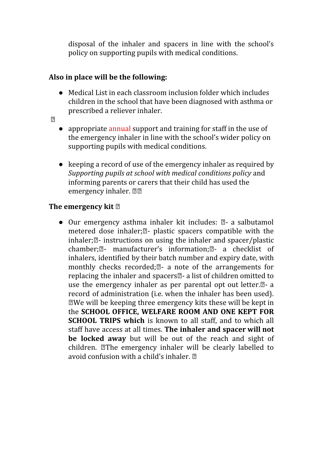disposal of the inhaler and spacers in line with the school's policy on supporting pupils with medical conditions.

#### **Also in place will be the following:**

- Medical List in each classroom inclusion folder which includes children in the school that have been diagnosed with asthma or prescribed a reliever inhaler.
- $\sqrt{2}$
- appropriate annual support and training for staff in the use of the emergency inhaler in line with the school's wider policy on supporting pupils with medical conditions.
- keeping a record of use of the emergency inhaler as required by *Supporting pupils at school with medical conditions policy* and informing parents or carers that their child has used the emergency inhaler. 22

## **The emergency kit**

• Our emergency asthma inhaler kit includes:  $\mathbb{Z}$ - a salbutamol metered dose inhaler; $\mathbb{Z}$ - plastic spacers compatible with the inhaler; $\mathbb{Z}$ - instructions on using the inhaler and spacer/plastic chamber; $\mathbb{Z}$ - manufacturer's information; $\mathbb{Z}$ - a checklist of inhalers, identified by their batch number and expiry date, with monthly checks recorded; $\mathbb{Z}$ - a note of the arrangements for replacing the inhaler and spacers $\mathbb{Z}$ - a list of children omitted to use the emergency inhaler as per parental opt out letter. $\mathbb{Z}$ - a record of administration (i.e. when the inhaler has been used). We will be keeping three emergency kits these will be kept in the **SCHOOL OFFICE, WELFARE ROOM AND ONE KEPT FOR SCHOOL TRIPS which** is known to all staff, and to which all staff have access at all times. **The inhaler and spacer will not be locked away** but will be out of the reach and sight of children. The emergency inhaler will be clearly labelled to avoid confusion with a child's inhaler.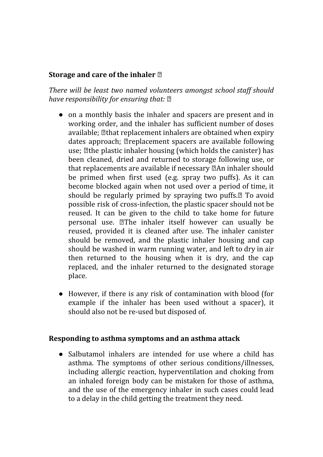#### **Storage and care of the inhaler**

*There will be least two named volunteers amongst school staf should have responsibility for ensuring that:*

- on a monthly basis the inhaler and spacers are present and in working order, and the inhaler has sufficient number of doses available; **If that replacement inhalers are obtained when expiry** dates approach; **Preplacement** spacers are available following use; *k* the plastic inhaler housing (which holds the canister) has been cleaned, dried and returned to storage following use, or that replacements are available if necessary  $\mathbb Z$ An inhaler should be primed when first used (e.g. spray two puffs). As it can become blocked again when not used over a period of time, it should be regularly primed by spraying two puffs.<sup>[2]</sup> To avoid possible risk of cross-infection, the plastic spacer should not be reused. It can be given to the child to take home for future personal use. **The inhaler itself however can usually be** reused, provided it is cleaned after use. The inhaler canister should be removed, and the plastic inhaler housing and cap should be washed in warm running water, and left to dry in air then returned to the housing when it is dry, and the cap replaced, and the inhaler returned to the designated storage place.
- However, if there is any risk of contamination with blood (for example if the inhaler has been used without a spacer), it should also not be re-used but disposed of.

#### **Responding to asthma symptoms and an asthma attack**

• Salbutamol inhalers are intended for use where a child has asthma. The symptoms of other serious conditions/illnesses, including allergic reaction, hyperventilation and choking from an inhaled foreign body can be mistaken for those of asthma, and the use of the emergency inhaler in such cases could lead to a delay in the child getting the treatment they need.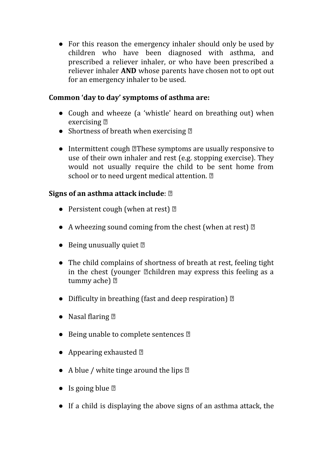• For this reason the emergency inhaler should only be used by children who have been diagnosed with asthma, and prescribed a reliever inhaler, or who have been prescribed a reliever inhaler **AND** whose parents have chosen not to opt out for an emergency inhaler to be used.

#### **Common 'day to day' symptoms of asthma are:**

- Cough and wheeze (a 'whistle' heard on breathing out) when exercising  $\mathbb{Z}$
- Shortness of breath when exercising  $\mathbb{Z}$
- Intermittent cough **These symptoms** are usually responsive to use of their own inhaler and rest (e.g. stopping exercise). They would not usually require the child to be sent home from school or to need urgent medical attention. 2

## **Signs of an asthma attack include**:

- Persistent cough (when at rest)  $\mathbb{R}$
- A wheezing sound coming from the chest (when at rest)  $\mathbb{Z}$
- Being unusually quiet  $\mathbb{Z}$
- The child complains of shortness of breath at rest, feeling tight in the chest (younger  $\mathbb Z$ children may express this feeling as a tummy ache) ?
- Difficulty in breathing (fast and deep respiration)  $\mathbb D$
- Nasal flaring  $\mathbb{Z}$
- Being unable to complete sentences **2**
- Appearing exhausted  $\mathbb{Z}$
- A blue / white tinge around the lips  $\mathbb D$
- Is going blue  $\mathbb{Z}$
- If a child is displaying the above signs of an asthma attack, the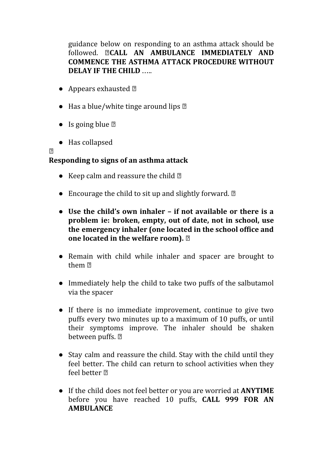guidance below on responding to an asthma attack should be followed. **CALL AN AMBULANCE IMMEDIATELY AND COMMENCE THE ASTHMA ATTACK PROCEDURE WITHOUT DELAY IF THE CHILD** …..

- Appears exhausted  $\mathbb{D}$
- $\bullet$  Has a blue/white tinge around lips  $\mathbb D$
- Is going blue  $\mathbb{Z}$
- Has collapsed

 $\sqrt{2}$ 

#### **Responding to signs of an asthma attack**

- Keep calm and reassure the child  $\mathbb{Z}$
- Encourage the child to sit up and slightly forward.  $\mathbb{Z}$
- **Use the child's own inhaler – if not available or there is a problem ie: broken, empty, out of date, not in school, use the emergency inhaler (one located in the school office and one located in the welfare room).**
- Remain with child while inhaler and spacer are brought to them
- Immediately help the child to take two puffs of the salbutamol via the spacer
- If there is no immediate improvement, continue to give two puffs every two minutes up to a maximum of 10 puffs, or until their symptoms improve. The inhaler should be shaken between puffs. 2
- Stay calm and reassure the child. Stay with the child until they feel better. The child can return to school activities when they feel better ?
- If the child does not feel better or you are worried at **ANYTIME** before you have reached 10 puffs, **CALL 999 FOR AN AMBULANCE**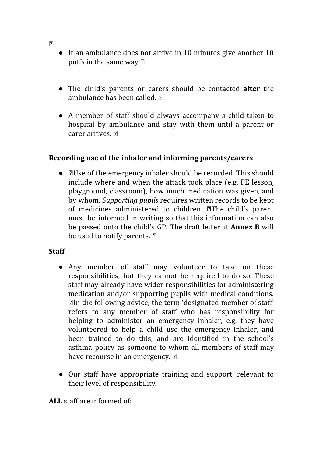- If an ambulance does not arrive in 10 minutes give another 10 puffs in the same way  $\mathbb{Z}$
- The child's parents or carers should be contacted **after** the ambulance has been called.
- A member of staff should always accompany a child taken to hospital by ambulance and stay with them until a parent or carer arrives.

#### **Recording use of the inhaler and informing parents/carers**

• **Zame of the emergency inhaler should be recorded. This should** include where and when the attack took place (e.g. PE lesson, playground, classroom), how much medication was given, and by whom. *Supporting pupils* requires written records to be kept of medicines administered to children. **The child's parent** must be informed in writing so that this information can also be passed onto the child's GP. The draft letter at **Annex B** will be used to notify parents. 2

#### **Staff**

- Any member of staff may volunteer to take on these responsibilities, but they cannot be required to do so. These staff may already have wider responsibilities for administering medication and/or supporting pupils with medical conditions. In the following advice, the term 'designated member of staff' refers to any member of staff who has responsibility for helping to administer an emergency inhaler, e.g. they have volunteered to help a child use the emergency inhaler, and been trained to do this, and are identified in the school's asthma policy as someone to whom all members of staff may have recourse in an emergency. 2
- Our staff have appropriate training and support, relevant to their level of responsibility*.*

**ALL** staff are informed of:

 $\sqrt{2}$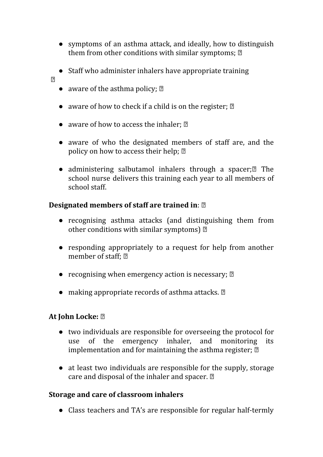- symptoms of an asthma attack, and ideally, how to distinguish them from other conditions with similar symptoms; 2
- Staff who administer inhalers have appropriate training
- $\overline{2}$
- aware of the asthma policy;  $\mathbb{Z}$
- aware of how to check if a child is on the register;  $\mathbb{Z}$
- aware of how to access the inhaler;  $\mathbb{Z}$
- aware of who the designated members of staff are, and the policy on how to access their help; 2
- administering salbutamol inhalers through a spacer; $\mathbb{Z}$  The school nurse delivers this training each year to all members of school staff.

#### **Designated members of staff are trained in**:

- recognising asthma attacks (and distinguishing them from other conditions with similar symptoms)  $\mathbb{Z}$
- responding appropriately to a request for help from another member of staff; 2
- recognising when emergency action is necessary;  $\mathbb{Z}$
- making appropriate records of asthma attacks.  $\mathbb{D}$

#### **At John Locke:**

- two individuals are responsible for overseeing the protocol for use of the emergency inhaler, and monitoring its implementation and for maintaining the asthma register; 2
- at least two individuals are responsible for the supply, storage care and disposal of the inhaler and spacer.

#### **Storage and care of classroom inhalers**

• Class teachers and TA's are responsible for regular half-termly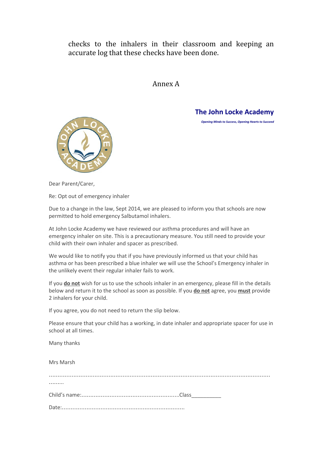checks to the inhalers in their classroom and keeping an accurate log that these checks have been done.

#### Annex A

**The John Locke Academy**

*Opening Minds to Success, Opening Hearts to Succeed*



Dear Parent/Carer,

Re: Opt out of emergency inhaler

Due to a change in the law, Sept 2014, we are pleased to inform you that schools are now permitted to hold emergency Salbutamol inhalers.

At John Locke Academy we have reviewed our asthma procedures and will have an emergency inhaler on site. This is a precautionary measure. You still need to provide your child with their own inhaler and spacer as prescribed.

We would like to notify you that if you have previously informed us that your child has asthma or has been prescribed a blue inhaler we will use the School's Emergency inhaler in the unlikely event their regular inhaler fails to work.

If you **do not** wish for us to use the schools inhaler in an emergency, please fill in the details below and return it to the school as soon as possible. If you **do not** agree, you **must** provide 2 inhalers for your child.

If you agree, you do not need to return the slip below.

Please ensure that your child has a working, in date inhaler and appropriate spacer for use in school at all times.

Many thanks

Mrs Marsh

| . |  |
|---|--|
|   |  |
|   |  |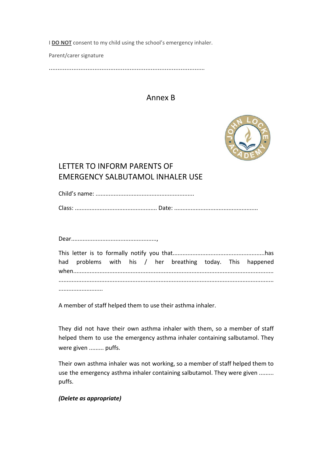I **DO NOT** consent to my child using the school's emergency inhaler.

Parent/carer signature

……………………………………………………………………………..

#### Annex B



## LETTER TO INFORM PARENTS OF EMERGENCY SALBUTAMOL INHALER USE

Child's name: ............................................................ Class: .................................................. Date: ...................................................

Dear....................................................,

| had problems with his / her breathing today. This happened |  |  |  |  |
|------------------------------------------------------------|--|--|--|--|
|                                                            |  |  |  |  |
|                                                            |  |  |  |  |

A member of staff helped them to use their asthma inhaler.

They did not have their own asthma inhaler with them, so a member of staff helped them to use the emergency asthma inhaler containing salbutamol. They were given ......... puffs.

Their own asthma inhaler was not working, so a member of staff helped them to use the emergency asthma inhaler containing salbutamol. They were given ......... puffs.

#### *(Delete as appropriate)*